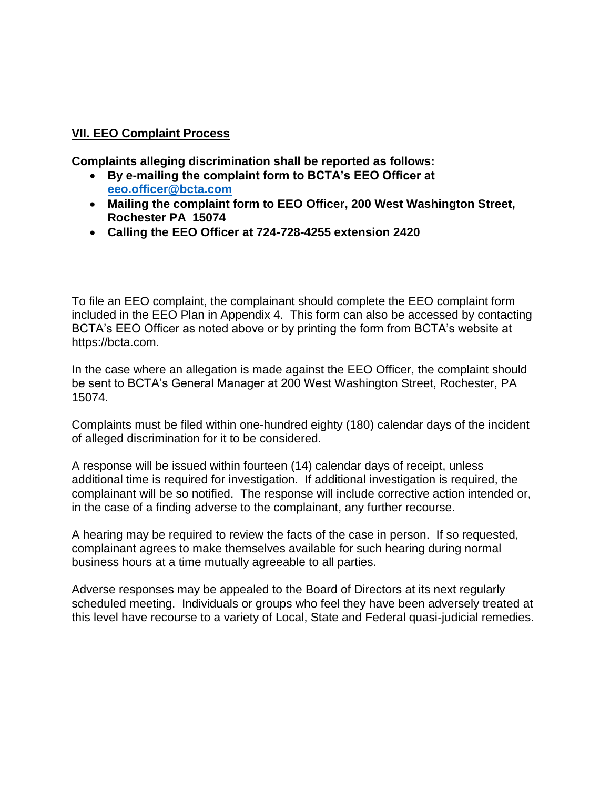## **VII. EEO Complaint Process**

**Complaints alleging discrimination shall be reported as follows:** 

- **By e-mailing the complaint form to BCTA's EEO Officer at [eeo.officer@bcta.com](mailto:eeo.officer@bcta.com)**
- **Mailing the complaint form to EEO Officer, 200 West Washington Street, Rochester PA 15074**
- **Calling the EEO Officer at 724-728-4255 extension 2420**

To file an EEO complaint, the complainant should complete the EEO complaint form included in the EEO Plan in Appendix 4. This form can also be accessed by contacting BCTA's EEO Officer as noted above or by printing the form from BCTA's website at https://bcta.com.

In the case where an allegation is made against the EEO Officer, the complaint should be sent to BCTA's General Manager at 200 West Washington Street, Rochester, PA 15074.

Complaints must be filed within one-hundred eighty (180) calendar days of the incident of alleged discrimination for it to be considered.

A response will be issued within fourteen (14) calendar days of receipt, unless additional time is required for investigation. If additional investigation is required, the complainant will be so notified. The response will include corrective action intended or, in the case of a finding adverse to the complainant, any further recourse.

A hearing may be required to review the facts of the case in person. If so requested, complainant agrees to make themselves available for such hearing during normal business hours at a time mutually agreeable to all parties.

Adverse responses may be appealed to the Board of Directors at its next regularly scheduled meeting. Individuals or groups who feel they have been adversely treated at this level have recourse to a variety of Local, State and Federal quasi-judicial remedies.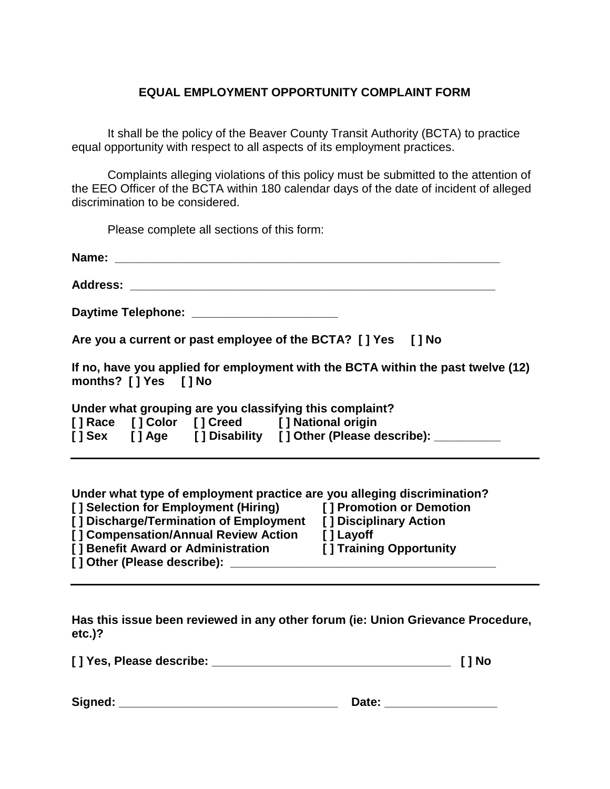## **EQUAL EMPLOYMENT OPPORTUNITY COMPLAINT FORM**

It shall be the policy of the Beaver County Transit Authority (BCTA) to practice equal opportunity with respect to all aspects of its employment practices.

Complaints alleging violations of this policy must be submitted to the attention of the EEO Officer of the BCTA within 180 calendar days of the date of incident of alleged discrimination to be considered.

Please complete all sections of this form:

|                             | Daytime Telephone: __________________________           |                                                                                  |
|-----------------------------|---------------------------------------------------------|----------------------------------------------------------------------------------|
|                             |                                                         | Are you a current or past employee of the BCTA? [] Yes [] No                     |
| months? [] Yes [] No        |                                                         | If no, have you applied for employment with the BCTA within the past twelve (12) |
|                             | Under what grouping are you classifying this complaint? |                                                                                  |
|                             | [] Race [] Color [] Creed [] National origin            | [] Sex [] Age [] Disability [] Other (Please describe): _________                |
|                             |                                                         | Under what type of employment practice are you alleging discrimination?          |
|                             |                                                         | [] Selection for Employment (Hiring) [] Promotion or Demotion                    |
|                             |                                                         | [] Discharge/Termination of Employment [] Disciplinary Action                    |
|                             | [] Compensation/Annual Review Action [] Layoff          |                                                                                  |
| [] Other (Please describe): |                                                         | [] Benefit Award or Administration [] Training Opportunity                       |

**Has this issue been reviewed in any other forum (ie: Union Grievance Procedure, etc.)?**

**[ ] Yes, Please describe: \_\_\_\_\_\_\_\_\_\_\_\_\_\_\_\_\_\_\_\_\_\_\_\_\_\_\_\_\_\_\_\_\_\_\_\_ [ ] No**

**Signed: \_\_\_\_\_\_\_\_\_\_\_\_\_\_\_\_\_\_\_\_\_\_\_\_\_\_\_\_\_\_\_\_\_ Date: \_\_\_\_\_\_\_\_\_\_\_\_\_\_\_\_\_**

| M<br>۰.<br>۰.<br>٧ |
|--------------------|
|                    |